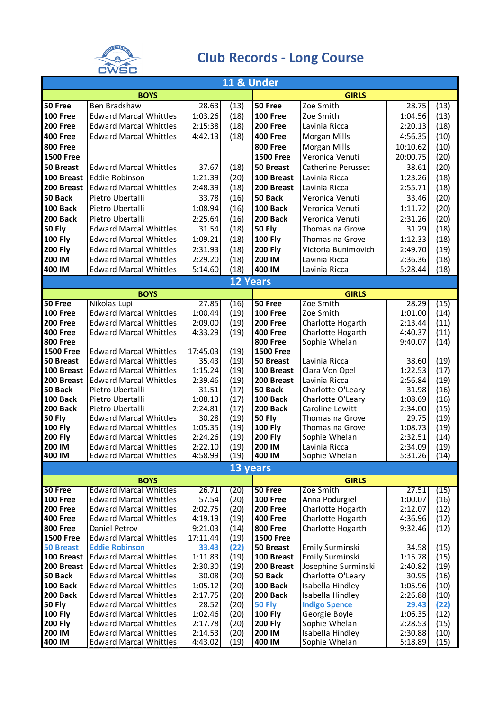

## **Club Records - Long Course**

| <b>11 &amp; Under</b>         |                                                                |                    |                 |                               |                                   |                    |              |  |
|-------------------------------|----------------------------------------------------------------|--------------------|-----------------|-------------------------------|-----------------------------------|--------------------|--------------|--|
| <b>BOYS</b>                   |                                                                |                    |                 | <b>GIRLS</b>                  |                                   |                    |              |  |
| 50 Free                       | Ben Bradshaw                                                   | 28.63              | (13)            | 50 Free                       | Zoe Smith                         | 28.75              | (13)         |  |
| <b>100 Free</b>               | <b>Edward Marcal Whittles</b>                                  | 1:03.26            | (18)            | <b>100 Free</b>               | Zoe Smith                         | 1:04.56            | (13)         |  |
| <b>200 Free</b>               | <b>Edward Marcal Whittles</b>                                  | 2:15:38            | (18)            | <b>200 Free</b>               | Lavinia Ricca                     | 2:20.13            | (18)         |  |
| <b>400 Free</b>               | <b>Edward Marcal Whittles</b>                                  | 4:42.13            | (18)            | <b>400 Free</b>               | <b>Morgan Mills</b>               | 4:56.35            | (10)         |  |
| <b>800 Free</b>               |                                                                |                    |                 | <b>800 Free</b>               | <b>Morgan Mills</b>               | 10:10.62           | (10)         |  |
| <b>1500 Free</b>              |                                                                |                    |                 | <b>1500 Free</b>              | Veronica Venuti                   | 20:00.75           | (20)         |  |
| 50 Breast                     | <b>Edward Marcal Whittles</b>                                  | 37.67              | (18)            | 50 Breast                     | Catherine Perusset                | 38.61              | (20)         |  |
| 100 Breast                    | Eddie Robinson                                                 | 1:21.39            | (20)            | 100 Breast                    | Lavinia Ricca                     | 1:23.26            | (18)         |  |
| 200 Breast                    | <b>Edward Marcal Whittles</b>                                  | 2:48.39            | (18)            | 200 Breast                    | Lavinia Ricca                     | 2:55.71            | (18)         |  |
| 50 Back                       | Pietro Ubertalli                                               | 33.78              | (16)            | 50 Back                       | Veronica Venuti                   | 33.46              | (20)         |  |
| 100 Back                      | Pietro Ubertalli                                               | 1:08.94            | (16)            | 100 Back                      | Veronica Venuti                   | 1:11.72            | (20)         |  |
| 200 Back                      | Pietro Ubertalli                                               | 2:25.64            | (16)            | 200 Back                      | Veronica Venuti                   | 2:31.26            | (20)         |  |
| <b>50 Fly</b>                 | <b>Edward Marcal Whittles</b>                                  | 31.54              | (18)            | <b>50 Fly</b>                 | Thomasina Grove                   | 31.29              | (18)         |  |
| <b>100 Fly</b>                | <b>Edward Marcal Whittles</b>                                  | 1:09.21            | (18)            | <b>100 Fly</b>                | Thomasina Grove                   | 1:12.33            | (18)         |  |
| <b>200 Fly</b>                | <b>Edward Marcal Whittles</b>                                  | 2:31.93            | (18)            | <b>200 Fly</b>                | Victoria Bunimovich               | 2:49.70            | (19)         |  |
| 200 IM                        | <b>Edward Marcal Whittles</b>                                  | 2:29.20            | (18)            | 200 IM                        | Lavinia Ricca                     | 2:36.36            | (18)         |  |
| 400 IM                        | <b>Edward Marcal Whittles</b>                                  | 5:14.60            | (18)            | 400 IM                        | Lavinia Ricca                     | 5:28.44            | (18)         |  |
|                               |                                                                |                    | <b>12 Years</b> |                               |                                   |                    |              |  |
|                               | <b>BOYS</b>                                                    |                    |                 |                               | <b>GIRLS</b>                      |                    |              |  |
| 50 Free                       | Nikolas Lupi                                                   | 27.85              | (16)            | 50 Free                       | Zoe Smith                         | 28.29              | (15)         |  |
| <b>100 Free</b>               | <b>Edward Marcal Whittles</b>                                  | 1:00.44            | (19)            | <b>100 Free</b>               | Zoe Smith                         | 1:01.00            | (14)         |  |
| <b>200 Free</b>               | <b>Edward Marcal Whittles</b>                                  | 2:09.00            | (19)            | <b>200 Free</b>               | Charlotte Hogarth                 | 2:13.44            | (11)         |  |
| <b>400 Free</b>               | <b>Edward Marcal Whittles</b>                                  | 4:33.29            | (19)            | <b>400 Free</b>               | Charlotte Hogarth                 | 4:40.37            | (11)         |  |
| <b>800 Free</b>               | <b>Edward Marcal Whittles</b>                                  |                    |                 | <b>800 Free</b>               | Sophie Whelan                     | 9:40.07            | (14)         |  |
| <b>1500 Free</b><br>50 Breast | <b>Edward Marcal Whittles</b>                                  | 17:45.03<br>35.43  | (19)<br>(19)    | <b>1500 Free</b><br>50 Breast | Lavinia Ricca                     | 38.60              | (19)         |  |
| 100 Breast                    | <b>Edward Marcal Whittles</b>                                  | 1:15.24            | (19)            | 100 Breast                    | Clara Von Opel                    | 1:22.53            | (17)         |  |
| 200 Breast                    | <b>Edward Marcal Whittles</b>                                  | 2:39.46            | (19)            | 200 Breast                    | Lavinia Ricca                     | 2:56.84            | (19)         |  |
| 50 Back                       | Pietro Ubertalli                                               | 31.51              | (17)            | 50 Back                       | Charlotte O'Leary                 | 31.98              | (16)         |  |
| 100 Back                      | Pietro Ubertalli                                               | 1:08.13            | (17)            | 100 Back                      | Charlotte O'Leary                 | 1:08.69            | (16)         |  |
| 200 Back                      | Pietro Ubertalli                                               | 2:24.81            | (17)            | 200 Back                      | Caroline Lewitt                   | 2:34.00            | (15)         |  |
| <b>50 Fly</b>                 | <b>Edward Marcal Whittles</b>                                  | 30.28              | (19)            | <b>50 Fly</b>                 | <b>Thomasina Grove</b>            | 29.75              | (19)         |  |
| <b>100 Fly</b>                | <b>Edward Marcal Whittles</b>                                  | 1:05.35            | (19)            | <b>100 Fly</b>                | Thomasina Grove                   | 1:08.73            | (19)         |  |
| <b>200 Fly</b>                | <b>Edward Marcal Whittles</b>                                  | 2:24.26            | (19)            | <b>200 Fly</b>                | Sophie Whelan                     | 2:32.51            | (14)         |  |
| 200 IM                        | <b>Edward Marcal Whittles</b>                                  | 2:22.10            | (19)            | 200 IM                        | Lavinia Ricca                     | 2:34.09            | (19)         |  |
| 400 IM                        | <b>Edward Marcal Whittles</b>                                  | 4:58.99            | (19)            | 400 IM                        | Sophie Whelan                     | 5:31.26            | (14)         |  |
|                               |                                                                |                    | 13 years        |                               |                                   |                    |              |  |
|                               | <b>BOYS</b>                                                    |                    |                 | 50 Free                       | <b>GIRLS</b><br>Zoe Smith         |                    |              |  |
| 50 Free<br><b>100 Free</b>    | <b>Edward Marcal Whittles</b><br><b>Edward Marcal Whittles</b> | 26.71<br>57.54     | (20)<br>(20)    | <b>100 Free</b>               | Anna Podurgiel                    | 27.51<br>1:00.07   | (15)<br>(16) |  |
| <b>200 Free</b>               | <b>Edward Marcal Whittles</b>                                  | 2:02.75            | (20)            | <b>200 Free</b>               | Charlotte Hogarth                 | 2:12.07            | (12)         |  |
| <b>400 Free</b>               | <b>Edward Marcal Whittles</b>                                  | 4:19.19            | (19)            | <b>400 Free</b>               | Charlotte Hogarth                 | 4:36.96            | (12)         |  |
| <b>800 Free</b>               | Daniel Petrov                                                  | 9:21.03            | (14)            | <b>800 Free</b>               | Charlotte Hogarth                 | 9:32.46            | (12)         |  |
| <b>1500 Free</b>              | <b>Edward Marcal Whittles</b>                                  | 17:11.44           | (19)            | <b>1500 Free</b>              |                                   |                    |              |  |
| <b>50 Breast</b>              | <b>Eddie Robinson</b>                                          | 33.43              | (22)            | 50 Breast                     | Emily Surminski                   | 34.58              | (15)         |  |
| 100 Breast                    | <b>Edward Marcal Whittles</b>                                  | 1:11.83            | (19)            | 100 Breast                    | Emily Surminski                   | 1:15.78            | (15)         |  |
| 200 Breast                    | <b>Edward Marcal Whittles</b>                                  | 2:30.30            | (19)            | 200 Breast                    | Josephine Surminski               | 2:40.82            | (19)         |  |
| 50 Back                       | <b>Edward Marcal Whittles</b>                                  | 30.08              | (20)            | 50 Back                       | Charlotte O'Leary                 | 30.95              | (16)         |  |
| 100 Back                      | <b>Edward Marcal Whittles</b>                                  | 1:05.12            | (20)            | 100 Back                      | Isabella Hindley                  | 1:05.96            | (10)         |  |
| 200 Back                      | <b>Edward Marcal Whittles</b>                                  | 2:17.75            | (20)            | 200 Back                      | Isabella Hindley                  | 2:26.88            | (10)         |  |
| <b>50 Fly</b>                 | <b>Edward Marcal Whittles</b>                                  | 28.52              | (20)            | <b>50 Fly</b>                 | <b>Indigo Spence</b>              | 29.43              | (22)         |  |
| <b>100 Fly</b>                | <b>Edward Marcal Whittles</b>                                  | 1:02.46            | (20)            | <b>100 Fly</b>                | Georgie Boyle                     | 1:06.35            | (12)         |  |
| <b>200 Fly</b><br>200 IM      | <b>Edward Marcal Whittles</b><br><b>Edward Marcal Whittles</b> | 2:17.78<br>2:14.53 | (20)<br>(20)    | <b>200 Fly</b><br>200 IM      | Sophie Whelan<br>Isabella Hindley | 2:28.53<br>2:30.88 | (15)<br>(10) |  |
| 400 IM                        | <b>Edward Marcal Whittles</b>                                  | 4:43.02            | (19)            | 400 IM                        | Sophie Whelan                     | 5:18.89            | (15)         |  |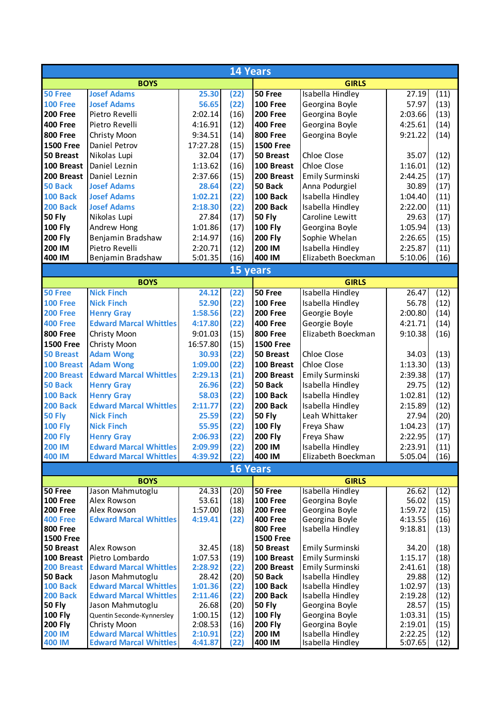| 14 Years                   |                                                                |                    |                 |                            |                                      |                    |              |  |
|----------------------------|----------------------------------------------------------------|--------------------|-----------------|----------------------------|--------------------------------------|--------------------|--------------|--|
|                            | <b>BOYS</b>                                                    |                    |                 |                            | <b>GIRLS</b>                         |                    |              |  |
| 50 Free                    | <b>Josef Adams</b>                                             | 25.30              | (22)            | 50 Free                    | Isabella Hindley                     | 27.19              | (11)         |  |
| <b>100 Free</b>            | <b>Josef Adams</b>                                             | 56.65              | (22)            | <b>100 Free</b>            | Georgina Boyle                       | 57.97              | (13)         |  |
| 200 Free                   | Pietro Revelli                                                 | 2:02.14            | (16)            | <b>200 Free</b>            | Georgina Boyle                       | 2:03.66            | (13)         |  |
| <b>400 Free</b>            | Pietro Revelli                                                 | 4:16.91            | (12)            | <b>400 Free</b>            | Georgina Boyle                       | 4:25.61            | (14)         |  |
| <b>800 Free</b>            | Christy Moon                                                   | 9:34.51            | (14)            | <b>800 Free</b>            | Georgina Boyle                       | 9:21.22            | (14)         |  |
| <b>1500 Free</b>           | Daniel Petrov                                                  | 17:27.28           | (15)            | <b>1500 Free</b>           |                                      |                    |              |  |
| 50 Breast                  | Nikolas Lupi                                                   | 32.04              | (17)            | <b>50 Breast</b>           | Chloe Close                          | 35.07              | (12)         |  |
| 100 Breast                 | Daniel Leznin                                                  | 1:13.62            | (16)            | 100 Breast                 | Chloe Close                          | 1:16.01            | (12)         |  |
| 200 Breast                 | Daniel Leznin                                                  | 2:37.66            | (15)            | 200 Breast                 | <b>Emily Surminski</b>               | 2:44.25            | (17)         |  |
| 50 Back                    | <b>Josef Adams</b>                                             | 28.64              | (22)            | 50 Back                    | Anna Podurgiel                       | 30.89              | (17)         |  |
| <b>100 Back</b>            | <b>Josef Adams</b>                                             | 1:02.21            | (22)            | 100 Back                   | Isabella Hindley                     | 1:04.40            | (11)         |  |
| 200 Back                   | <b>Josef Adams</b>                                             | 2:18.30            | (22)            | 200 Back                   | Isabella Hindley                     | 2:22.00            | (11)         |  |
| <b>50 Fly</b>              | Nikolas Lupi                                                   | 27.84              | (17)            | <b>50 Fly</b>              | Caroline Lewitt                      | 29.63              | (17)         |  |
| <b>100 Fly</b>             | Andrew Hong                                                    | 1:01.86            | (17)            | <b>100 Fly</b>             | Georgina Boyle                       | 1:05.94            | (13)         |  |
| <b>200 Fly</b>             | Benjamin Bradshaw                                              | 2:14.97            | (16)            | <b>200 Fly</b>             | Sophie Whelan                        | 2:26.65            | (15)         |  |
| 200 IM                     | Pietro Revelli                                                 | 2:20.71            | (12)            | 200 IM                     | Isabella Hindley                     | 2:25.87            | (11)         |  |
| 400 IM                     | Benjamin Bradshaw                                              | 5:01.35            | (16)            | 400 IM                     | Elizabeth Boeckman                   | 5:10.06            | (16)         |  |
|                            |                                                                |                    | 15 years        |                            |                                      |                    |              |  |
|                            | <b>BOYS</b>                                                    |                    |                 |                            | <b>GIRLS</b>                         |                    |              |  |
| 50 Free                    | <b>Nick Finch</b>                                              | 24.12              | (22)            | 50 Free                    | Isabella Hindley                     | 26.47              | (12)         |  |
| <b>100 Free</b>            | <b>Nick Finch</b>                                              | 52.90              | (22)            | <b>100 Free</b>            | Isabella Hindley                     | 56.78              | (12)         |  |
| <b>200 Free</b>            | <b>Henry Gray</b>                                              | 1:58.56            | (22)            | <b>200 Free</b>            | Georgie Boyle                        | 2:00.80            | (14)         |  |
| <b>400 Free</b>            | <b>Edward Marcal Whittles</b>                                  | 4:17.80            | (22)            | <b>400 Free</b>            | Georgie Boyle                        | 4:21.71            | (14)         |  |
| <b>800 Free</b>            | Christy Moon                                                   | 9:01.03            | (15)            | <b>800 Free</b>            | Elizabeth Boeckman                   | 9:10.38            | (16)         |  |
| <b>1500 Free</b>           | Christy Moon                                                   | 16:57.80           | (15)            | <b>1500 Free</b>           |                                      |                    |              |  |
| <b>50 Breast</b>           | <b>Adam Wong</b>                                               | 30.93              | (22)            | 50 Breast                  | Chloe Close                          | 34.03              | (13)         |  |
| 100 Breast                 | <b>Adam Wong</b>                                               | 1:09.00            | (22)            | 100 Breast                 | Chloe Close                          | 1:13.30            | (13)         |  |
| 200 Breast                 | <b>Edward Marcal Whittles</b>                                  | 2:29.13            | (21)            | 200 Breast                 | Emily Surminski                      | 2:39.38            | (17)         |  |
| 50 Back                    | <b>Henry Gray</b>                                              | 26.96              | (22)            | 50 Back                    | Isabella Hindley                     | 29.75              | (12)         |  |
| <b>100 Back</b>            | <b>Henry Gray</b>                                              | 58.03              | (22)            | 100 Back                   | Isabella Hindley                     | 1:02.81            | (12)         |  |
| 200 Back                   | <b>Edward Marcal Whittles</b>                                  | 2:11.77            | (22)            | 200 Back                   | Isabella Hindley                     | 2:15.89            | (12)         |  |
| <b>50 Fly</b>              | <b>Nick Finch</b>                                              | 25.59              | (22)            | <b>50 Fly</b>              | Leah Whittaker                       | 27.94              | (20)         |  |
| <b>100 Fly</b>             | <b>Nick Finch</b>                                              | 55.95              | (22)            | <b>100 Fly</b>             | Freya Shaw                           | 1:04.23            | (17)         |  |
| <b>200 Fly</b>             | <b>Henry Gray</b>                                              | 2:06.93            | (22)            | <b>200 Fly</b>             | Freya Shaw                           | 2:22.95            | (17)         |  |
| <b>200 IM</b>              | <b>Edward Marcal Whittles</b>                                  | 2:09.99            | (22)            | 200 IM                     | Isabella Hindley                     | 2:23.91            | (11)         |  |
| <b>400 IM</b>              | <b>Edward Marcal Whittles</b>                                  | 4:39.92            | (22)            | 400 IM                     | Elizabeth Boeckman                   | 5:05.04            | (16)         |  |
|                            |                                                                |                    | <b>16 Years</b> |                            |                                      |                    |              |  |
| <b>BOYS</b>                |                                                                |                    |                 |                            | <b>GIRLS</b>                         |                    |              |  |
| 50 Free<br><b>100 Free</b> | Jason Mahmutoglu<br>Alex Rowson                                | 24.33<br>53.61     | (20)            | 50 Free<br><b>100 Free</b> | Isabella Hindley                     | 26.62<br>56.02     | (12)         |  |
| <b>200 Free</b>            | Alex Rowson                                                    | 1:57.00            | (18)<br>(18)    | <b>200 Free</b>            | Georgina Boyle<br>Georgina Boyle     | 1:59.72            | (15)<br>(15) |  |
| <b>400 Free</b>            | <b>Edward Marcal Whittles</b>                                  | 4:19.41            | (22)            | <b>400 Free</b>            | Georgina Boyle                       | 4:13.55            | (16)         |  |
| <b>800 Free</b>            |                                                                |                    |                 | <b>800 Free</b>            | Isabella Hindley                     | 9:18.81            | (13)         |  |
| <b>1500 Free</b>           |                                                                |                    |                 | <b>1500 Free</b>           |                                      |                    |              |  |
| 50 Breast                  | Alex Rowson                                                    | 32.45              | (18)            | 50 Breast                  | Emily Surminski                      | 34.20              | (18)         |  |
| 100 Breast                 | Pietro Lombardo                                                | 1:07.53            | (19)            | 100 Breast                 | Emily Surminski                      | 1:15.17            | (18)         |  |
| 200 Breast                 | <b>Edward Marcal Whittles</b>                                  | 2:28.92            | (22)            | 200 Breast                 | Emily Surminski                      | 2:41.61            | (18)         |  |
| 50 Back                    | Jason Mahmutoglu                                               | 28.42              | (20)            | 50 Back                    | Isabella Hindley                     | 29.88              | (12)         |  |
| <b>100 Back</b>            | <b>Edward Marcal Whittles</b>                                  | 1:01.36            | (22)            | 100 Back                   | Isabella Hindley                     | 1:02.97            | (13)         |  |
| <b>200 Back</b>            | <b>Edward Marcal Whittles</b>                                  | 2:11.46            | (22)            | 200 Back                   | Isabella Hindley                     | 2:19.28            | (12)         |  |
| <b>50 Fly</b>              | Jason Mahmutoglu                                               | 26.68              | (20)            | <b>50 Fly</b>              | Georgina Boyle                       | 28.57              | (15)         |  |
| <b>100 Fly</b>             | Quentin Seconde-Kynnersley                                     | 1:00.15            | (12)            | <b>100 Fly</b>             | Georgina Boyle                       | 1:03.31            | (15)         |  |
| <b>200 Fly</b>             | Christy Moon                                                   | 2:08.53            | (16)            | <b>200 Fly</b>             | Georgina Boyle                       | 2:19.01            | (15)         |  |
| <b>200 IM</b><br>400 IM    | <b>Edward Marcal Whittles</b><br><b>Edward Marcal Whittles</b> | 2:10.91<br>4:41.87 | (22)<br>(22)    | 200 IM<br>400 IM           | Isabella Hindley<br>Isabella Hindley | 2:22.25<br>5:07.65 | (12)<br>(12) |  |